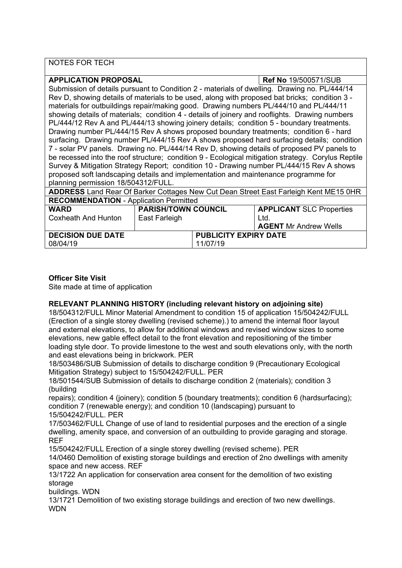NOTES FOR TECH

**APPLICATION PROPOSAL Ref No** 19/500571/SUB Submission of details pursuant to Condition 2 - materials of dwelling. Drawing no. PL/444/14 Rev D, showing details of materials to be used, along with proposed bat bricks; condition 3 materials for outbuildings repair/making good. Drawing numbers PL/444/10 and PL/444/11 showing details of materials; condition 4 - details of joinery and rooflights. Drawing numbers PL/444/12 Rev A and PL/444/13 showing joinery details; condition 5 - boundary treatments. Drawing number PL/444/15 Rev A shows proposed boundary treatments; condition 6 - hard surfacing. Drawing number PL/444/15 Rev A shows proposed hard surfacing details; condition 7 - solar PV panels. Drawing no. PL/444/14 Rev D, showing details of proposed PV panels to be recessed into the roof structure; condition 9 - Ecological mitigation strategy. Corylus Reptile Survey & Mitigation Strategy Report; condition 10 - Drawing number PL/444/15 Rev A shows proposed soft landscaping details and implementation and maintenance programme for planning permission 18/504312/FULL. **ADDRESS** Land Rear Of Barker Cottages New Cut Dean Street East Farleigh Kent ME15 0HR **RECOMMENDATION** - Application Permitted **WARD** Coxheath And Hunton **PARISH/TOWN COUNCIL** East Farleigh **APPLICANT** SLC Properties Ltd. **AGENT** Mr Andrew Wells **DECISION DUE DATE** 08/04/19 **PUBLICITY EXPIRY DATE** 11/07/19

# **Officer Site Visit**

Site made at time of application

# **RELEVANT PLANNING HISTORY (including relevant history on adjoining site)**

18/504312/FULL Minor Material Amendment to condition 15 of application 15/504242/FULL (Erection of a single storey dwelling (revised scheme).) to amend the internal floor layout and external elevations, to allow for additional windows and revised window sizes to some elevations, new gable effect detail to the front elevation and repositioning of the timber loading style door. To provide limestone to the west and south elevations only, with the north and east elevations being in brickwork. PER

18/503486/SUB Submission of details to discharge condition 9 (Precautionary Ecological Mitigation Strategy) subject to 15/504242/FULL. PER

18/501544/SUB Submission of details to discharge condition 2 (materials); condition 3 (building

repairs); condition 4 (joinery); condition 5 (boundary treatments); condition 6 (hardsurfacing); condition 7 (renewable energy); and condition 10 (landscaping) pursuant to 15/504242/FULL. PER

17/503462/FULL Change of use of land to residential purposes and the erection of a single dwelling, amenity space, and conversion of an outbuilding to provide garaging and storage. REF

15/504242/FULL Erection of a single storey dwelling (revised scheme). PER

14/0460 Demolition of existing storage buildings and erection of 2no dwellings with amenity space and new access. REF

13/1722 An application for conservation area consent for the demolition of two existing storage

buildings. WDN

13/1721 Demolition of two existing storage buildings and erection of two new dwellings. **WDN**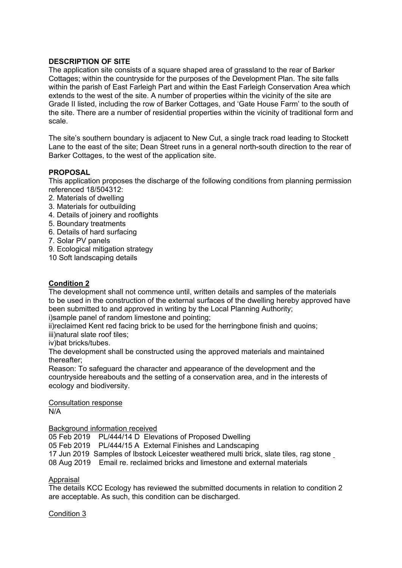# **DESCRIPTION OF SITE**

The application site consists of a square shaped area of grassland to the rear of Barker Cottages; within the countryside for the purposes of the Development Plan. The site falls within the parish of East Farleigh Part and within the East Farleigh Conservation Area which extends to the west of the site. A number of properties within the vicinity of the site are Grade II listed, including the row of Barker Cottages, and 'Gate House Farm' to the south of the site. There are a number of residential properties within the vicinity of traditional form and scale.

The site's southern boundary is adjacent to New Cut, a single track road leading to Stockett Lane to the east of the site; Dean Street runs in a general north-south direction to the rear of Barker Cottages, to the west of the application site.

# **PROPOSAL**

This application proposes the discharge of the following conditions from planning permission referenced 18/504312:

- 2. Materials of dwelling
- 3. Materials for outbuilding
- 4. Details of joinery and rooflights
- 5. Boundary treatments
- 6. Details of hard surfacing
- 7. Solar PV panels
- 9. Ecological mitigation strategy
- 10 Soft landscaping details

# **Condition 2**

The development shall not commence until, written details and samples of the materials to be used in the construction of the external surfaces of the dwelling hereby approved have been submitted to and approved in writing by the Local Planning Authority; i)sample panel of random limestone and pointing;

ii)reclaimed Kent red facing brick to be used for the herringbone finish and quoins; iii)natural slate roof tiles;

iv)bat bricks/tubes.

The development shall be constructed using the approved materials and maintained thereafter;

Reason: To safeguard the character and appearance of the development and the countryside hereabouts and the setting of a conservation area, and in the interests of ecology and biodiversity.

# Consultation response

N/A

#### Background information received

05 Feb 2019 PL/444/14 D Elevations of Proposed Dwelling

05 Feb 2019 PL/444/15 A External Finishes and Landscaping

17 Jun 2019 Samples of Ibstock Leicester weathered multi brick, slate tiles, rag stone

08 Aug 2019 Email re. reclaimed bricks and limestone and external materials

#### Appraisal

The details KCC Ecology has reviewed the submitted documents in relation to condition 2 are acceptable. As such, this condition can be discharged.

# Condition 3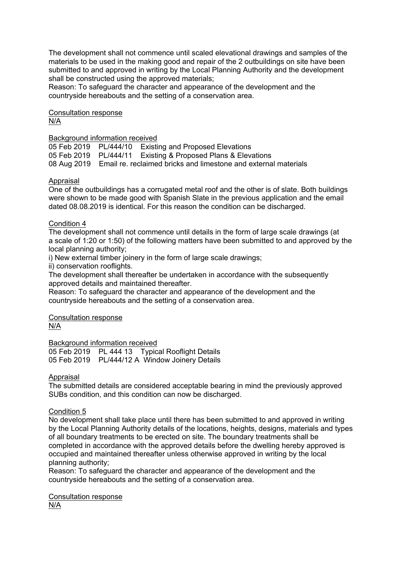The development shall not commence until scaled elevational drawings and samples of the materials to be used in the making good and repair of the 2 outbuildings on site have been submitted to and approved in writing by the Local Planning Authority and the development shall be constructed using the approved materials;

Reason: To safeguard the character and appearance of the development and the countryside hereabouts and the setting of a conservation area.

Consultation response N/A

#### Background information received

05 Feb 2019 PL/444/10 Existing and Proposed Elevations 05 Feb 2019 PL/444/11 Existing & Proposed Plans & Elevations 08 Aug 2019 Email re. reclaimed bricks and limestone and external materials

#### Appraisal

One of the outbuildings has a corrugated metal roof and the other is of slate. Both buildings were shown to be made good with Spanish Slate in the previous application and the email dated 08.08.2019 is identical. For this reason the condition can be discharged.

## Condition 4

The development shall not commence until details in the form of large scale drawings (at a scale of 1:20 or 1:50) of the following matters have been submitted to and approved by the local planning authority;

i) New external timber joinery in the form of large scale drawings;

ii) conservation rooflights.

The development shall thereafter be undertaken in accordance with the subsequently approved details and maintained thereafter.

Reason: To safeguard the character and appearance of the development and the countryside hereabouts and the setting of a conservation area.

Consultation response N/A

Background information received

05 Feb 2019 PL 444 13 Typical Rooflight Details 05 Feb 2019 PL/444/12 A Window Joinery Details

#### Appraisal

The submitted details are considered acceptable bearing in mind the previously approved SUBs condition, and this condition can now be discharged.

# Condition 5

No development shall take place until there has been submitted to and approved in writing by the Local Planning Authority details of the locations, heights, designs, materials and types of all boundary treatments to be erected on site. The boundary treatments shall be completed in accordance with the approved details before the dwelling hereby approved is occupied and maintained thereafter unless otherwise approved in writing by the local planning authority;

Reason: To safeguard the character and appearance of the development and the countryside hereabouts and the setting of a conservation area.

Consultation response N/A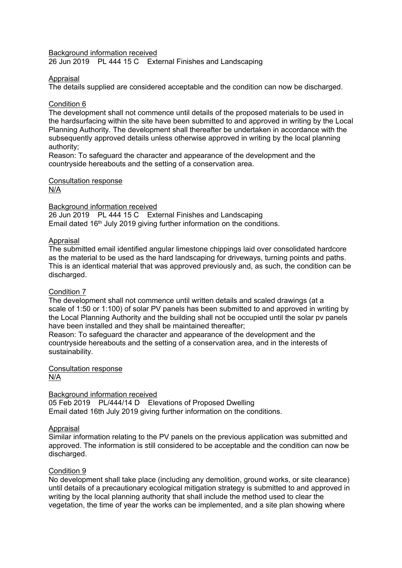Background information received

26 Jun 2019 PL 444 15 C External Finishes and Landscaping

#### Appraisal

The details supplied are considered acceptable and the condition can now be discharged.

#### Condition 6

The development shall not commence until details of the proposed materials to be used in the hardsurfacing within the site have been submitted to and approved in writing by the Local Planning Authority. The development shall thereafter be undertaken in accordance with the subsequently approved details unless otherwise approved in writing by the local planning authority;

Reason: To safeguard the character and appearance of the development and the countryside hereabouts and the setting of a conservation area.

# Consultation response

N/A

#### Background information received

26 Jun 2019 PL 444 15 C External Finishes and Landscaping Email dated  $16<sup>th</sup>$  July 2019 giving further information on the conditions.

#### Appraisal

The submitted email identified angular limestone chippings laid over consolidated hardcore as the material to be used as the hard landscaping for driveways, turning points and paths. This is an identical material that was approved previously and, as such, the condition can be discharged.

# Condition 7

The development shall not commence until written details and scaled drawings (at a scale of 1:50 or 1:100) of solar PV panels has been submitted to and approved in writing by the Local Planning Authority and the building shall not be occupied until the solar pv panels have been installed and they shall be maintained thereafter;

Reason: To safeguard the character and appearance of the development and the countryside hereabouts and the setting of a conservation area, and in the interests of sustainability.

#### Consultation response N/A

# Background information received

05 Feb 2019 PL/444/14 D Elevations of Proposed Dwelling Email dated 16th July 2019 giving further information on the conditions.

# Appraisal

Similar information relating to the PV panels on the previous application was submitted and approved. The information is still considered to be acceptable and the condition can now be discharged.

# Condition 9

No development shall take place (including any demolition, ground works, or site clearance) until details of a precautionary ecological mitigation strategy is submitted to and approved in writing by the local planning authority that shall include the method used to clear the vegetation, the time of year the works can be implemented, and a site plan showing where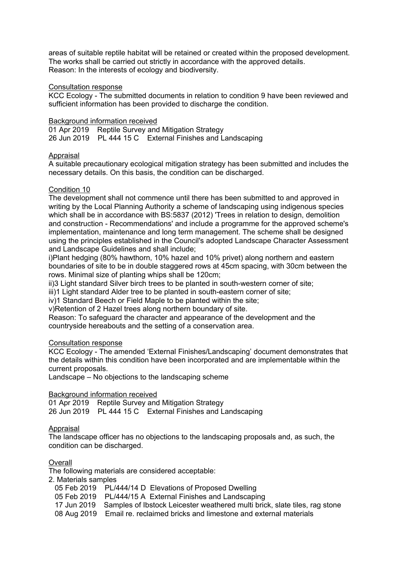areas of suitable reptile habitat will be retained or created within the proposed development. The works shall be carried out strictly in accordance with the approved details. Reason: In the interests of ecology and biodiversity.

#### Consultation response

KCC Ecology - The submitted documents in relation to condition 9 have been reviewed and sufficient information has been provided to discharge the condition.

## Background information received

01 Apr 2019 Reptile Survey and Mitigation Strategy 26 Jun 2019 PL 444 15 C External Finishes and Landscaping

# Appraisal

A suitable precautionary ecological mitigation strategy has been submitted and includes the necessary details. On this basis, the condition can be discharged.

# Condition 10

The development shall not commence until there has been submitted to and approved in writing by the Local Planning Authority a scheme of landscaping using indigenous species which shall be in accordance with BS:5837 (2012) 'Trees in relation to design, demolition and construction - Recommendations' and include a programme for the approved scheme's implementation, maintenance and long term management. The scheme shall be designed using the principles established in the Council's adopted Landscape Character Assessment and Landscape Guidelines and shall include;

i)Plant hedging (80% hawthorn, 10% hazel and 10% privet) along northern and eastern boundaries of site to be in double staggered rows at 45cm spacing, with 30cm between the rows. Minimal size of planting whips shall be 120cm;

ii)3 Light standard Silver birch trees to be planted in south-western corner of site;

iii)1 Light standard Alder tree to be planted in south-eastern corner of site;

iv)1 Standard Beech or Field Maple to be planted within the site;

v)Retention of 2 Hazel trees along northern boundary of site.

Reason: To safeguard the character and appearance of the development and the countryside hereabouts and the setting of a conservation area.

#### Consultation response

KCC Ecology - The amended 'External Finishes/Landscaping' document demonstrates that the details within this condition have been incorporated and are implementable within the current proposals.

Landscape – No objections to the landscaping scheme

# Background information received

01 Apr 2019 Reptile Survey and Mitigation Strategy 26 Jun 2019 PL 444 15 C External Finishes and Landscaping

# Appraisal

The landscape officer has no objections to the landscaping proposals and, as such, the condition can be discharged.

# **Overall**

The following materials are considered acceptable:

2. Materials samples

- 05 Feb 2019 PL/444/14 D Elevations of Proposed Dwelling
- 05 Feb 2019 PL/444/15 A External Finishes and Landscaping
- 17 Jun 2019 Samples of Ibstock Leicester weathered multi brick, slate tiles, rag stone
- 08 Aug 2019 Email re. reclaimed bricks and limestone and external materials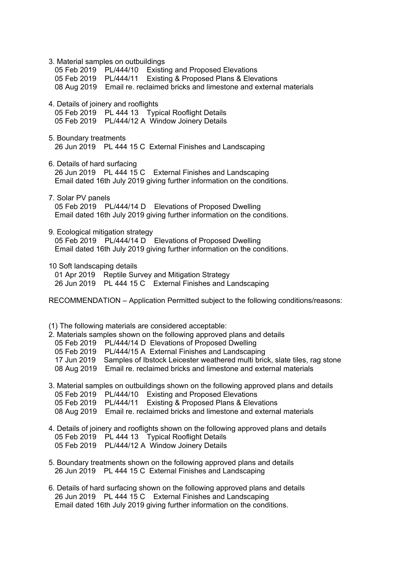| 3. Material samples on outbuildings<br>05 Feb 2019 PL/444/10 Existing and Proposed Elevations<br>05 Feb 2019 PL/444/11 Existing & Proposed Plans & Elevations<br>08 Aug 2019 Email re. reclaimed bricks and limestone and external materials                                                                                                                                                                                         |
|--------------------------------------------------------------------------------------------------------------------------------------------------------------------------------------------------------------------------------------------------------------------------------------------------------------------------------------------------------------------------------------------------------------------------------------|
| 4. Details of joinery and rooflights<br>05 Feb 2019 PL 444 13 Typical Rooflight Details<br>05 Feb 2019 PL/444/12 A Window Joinery Details                                                                                                                                                                                                                                                                                            |
| 5. Boundary treatments<br>26 Jun 2019 PL 444 15 C External Finishes and Landscaping                                                                                                                                                                                                                                                                                                                                                  |
| 6. Details of hard surfacing<br>26 Jun 2019 PL 444 15 C External Finishes and Landscaping<br>Email dated 16th July 2019 giving further information on the conditions.                                                                                                                                                                                                                                                                |
| 7. Solar PV panels<br>05 Feb 2019 PL/444/14 D Elevations of Proposed Dwelling<br>Email dated 16th July 2019 giving further information on the conditions.                                                                                                                                                                                                                                                                            |
| 9. Ecological mitigation strategy<br>05 Feb 2019 PL/444/14 D Elevations of Proposed Dwelling<br>Email dated 16th July 2019 giving further information on the conditions.                                                                                                                                                                                                                                                             |
| 10 Soft landscaping details<br>01 Apr 2019 Reptile Survey and Mitigation Strategy<br>26 Jun 2019 PL 444 15 C External Finishes and Landscaping                                                                                                                                                                                                                                                                                       |
| RECOMMENDATION – Application Permitted subject to the following conditions/reasons:                                                                                                                                                                                                                                                                                                                                                  |
| (1) The following materials are considered acceptable:<br>2. Materials samples shown on the following approved plans and details<br>05 Feb 2019 PL/444/14 D Elevations of Proposed Dwelling<br>05 Feb 2019 PL/444/15 A External Finishes and Landscaping<br>17 Jun 2019 Samples of Ibstock Leicester weathered multi brick, slate tiles, rag stone<br>Email re. reclaimed bricks and limestone and external materials<br>08 Aug 2019 |
| 3. Material samples on outbuildings shown on the following approved plans and details<br><b>Existing and Proposed Elevations</b><br>05 Feb 2019 PL/444/10<br>Existing & Proposed Plans & Elevations<br>05 Feb 2019 PL/444/11<br>08 Aug 2019 Email re. reclaimed bricks and limestone and external materials                                                                                                                          |
| 4. Details of joinery and rooflights shown on the following approved plans and details<br>05 Feb 2019 PL 444 13 Typical Rooflight Details<br>05 Feb 2019 PL/444/12 A Window Joinery Details                                                                                                                                                                                                                                          |
| 5. Boundary treatments shown on the following approved plans and details<br>26 Jun 2019 PL 444 15 C External Finishes and Landscaping                                                                                                                                                                                                                                                                                                |

6. Details of hard surfacing shown on the following approved plans and details 26 Jun 2019 PL 444 15 C External Finishes and Landscaping Email dated 16th July 2019 giving further information on the conditions.